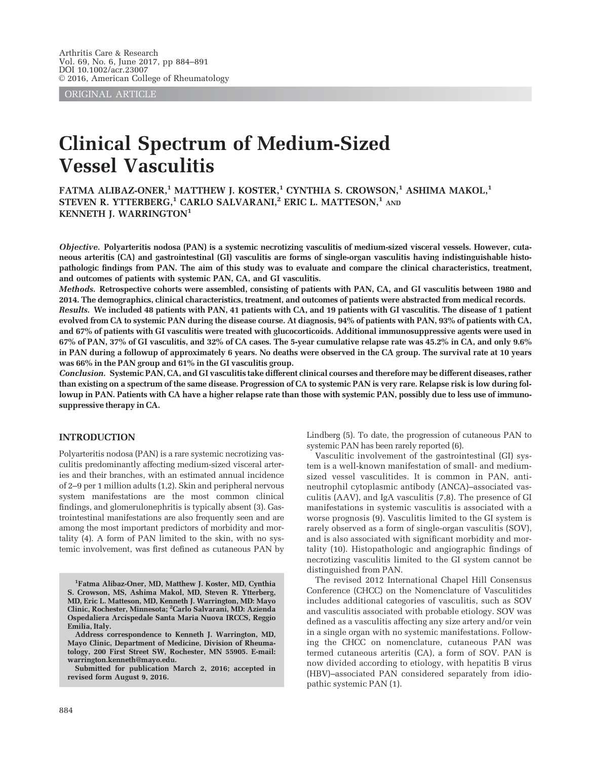ORIGINAL ARTICLE

# Clinical Spectrum of Medium-Sized Vessel Vasculitis

FATMA ALIBAZ-ONER,<sup>1</sup> MATTHEW J. KOSTER,<sup>1</sup> CYNTHIA S. CROWSON,<sup>1</sup> ASHIMA MAKOL,<sup>1</sup> STEVEN R. YTTERBERG,<sup>1</sup> CARLO SALVARANI,<sup>2</sup> ERIC L. MATTESON,<sup>1</sup> AND KENNETH J. WARRINGTON<sup>1</sup>

Objective. Polyarteritis nodosa (PAN) is a systemic necrotizing vasculitis of medium-sized visceral vessels. However, cutaneous arteritis (CA) and gastrointestinal (GI) vasculitis are forms of single-organ vasculitis having indistinguishable histopathologic findings from PAN. The aim of this study was to evaluate and compare the clinical characteristics, treatment, and outcomes of patients with systemic PAN, CA, and GI vasculitis.

Methods. Retrospective cohorts were assembled, consisting of patients with PAN, CA, and GI vasculitis between 1980 and 2014. The demographics, clinical characteristics, treatment, and outcomes of patients were abstracted from medical records. Results. We included 48 patients with PAN, 41 patients with CA, and 19 patients with GI vasculitis. The disease of 1 patient evolved from CA to systemic PAN during the disease course. At diagnosis, 94% of patients with PAN, 93% of patients with CA, and 67% of patients with GI vasculitis were treated with glucocorticoids. Additional immunosuppressive agents were used in 67% of PAN, 37% of GI vasculitis, and 32% of CA cases. The 5-year cumulative relapse rate was 45.2% in CA, and only 9.6% in PAN during a followup of approximately 6 years. No deaths were observed in the CA group. The survival rate at 10 years was 66% in the PAN group and 61% in the GI vasculitis group.

Conclusion. Systemic PAN, CA, and GI vasculitis take different clinical courses and therefore may be different diseases, rather than existing on a spectrum of the same disease. Progression of CA to systemic PAN is very rare. Relapse risk is low during followup in PAN. Patients with CA have a higher relapse rate than those with systemic PAN, possibly due to less use of immunosuppressive therapy in CA.

#### INTRODUCTION

Polyarteritis nodosa (PAN) is a rare systemic necrotizing vasculitis predominantly affecting medium-sized visceral arteries and their branches, with an estimated annual incidence of 2–9 per 1 million adults (1,2). Skin and peripheral nervous system manifestations are the most common clinical findings, and glomerulonephritis is typically absent (3). Gastrointestinal manifestations are also frequently seen and are among the most important predictors of morbidity and mortality (4). A form of PAN limited to the skin, with no systemic involvement, was first defined as cutaneous PAN by Lindberg (5). To date, the progression of cutaneous PAN to systemic PAN has been rarely reported (6).

Vasculitic involvement of the gastrointestinal (GI) system is a well-known manifestation of small- and mediumsized vessel vasculitides. It is common in PAN, antineutrophil cytoplasmic antibody (ANCA)–associated vasculitis (AAV), and IgA vasculitis (7,8). The presence of GI manifestations in systemic vasculitis is associated with a worse prognosis (9). Vasculitis limited to the GI system is rarely observed as a form of single-organ vasculitis (SOV), and is also associated with significant morbidity and mortality (10). Histopathologic and angiographic findings of necrotizing vasculitis limited to the GI system cannot be distinguished from PAN.

The revised 2012 International Chapel Hill Consensus Conference (CHCC) on the Nomenclature of Vasculitides includes additional categories of vasculitis, such as SOV and vasculitis associated with probable etiology. SOV was defined as a vasculitis affecting any size artery and/or vein in a single organ with no systemic manifestations. Following the CHCC on nomenclature, cutaneous PAN was termed cutaneous arteritis (CA), a form of SOV. PAN is now divided according to etiology, with hepatitis B virus (HBV)–associated PAN considered separately from idiopathic systemic PAN (1).

<sup>&</sup>lt;sup>1</sup>Fatma Alibaz-Oner, MD, Matthew J. Koster, MD, Cynthia S. Crowson, MS, Ashima Makol, MD, Steven R. Ytterberg, MD, Eric L. Matteson, MD, Kenneth J. Warrington, MD: Mayo Clinic, Rochester, Minnesota; <sup>2</sup> Carlo Salvarani, MD: Azienda Ospedaliera Arcispedale Santa Maria Nuova IRCCS, Reggio Emilia, Italy.

Address correspondence to Kenneth J. Warrington, MD, Mayo Clinic, Department of Medicine, Division of Rheumatology, 200 First Street SW, Rochester, MN 55905. E-mail: warrington.kenneth@mayo.edu.

Submitted for publication March 2, 2016; accepted in revised form August 9, 2016.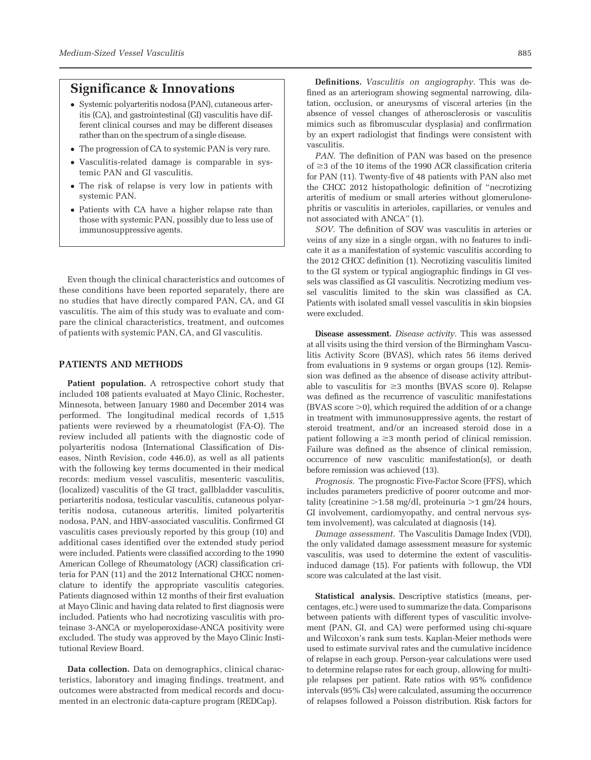# Significance & Innovations

- Systemic polyarteritis nodosa (PAN), cutaneous arteritis (CA), and gastrointestinal (GI) vasculitis have different clinical courses and may be different diseases rather than on the spectrum of a single disease.
- The progression of CA to systemic PAN is very rare.
- Vasculitis-related damage is comparable in systemic PAN and GI vasculitis.
- The risk of relapse is very low in patients with systemic PAN.
- Patients with CA have a higher relapse rate than those with systemic PAN, possibly due to less use of immunosuppressive agents.

Even though the clinical characteristics and outcomes of these conditions have been reported separately, there are no studies that have directly compared PAN, CA, and GI vasculitis. The aim of this study was to evaluate and compare the clinical characteristics, treatment, and outcomes of patients with systemic PAN, CA, and GI vasculitis.

### PATIENTS AND METHODS

Patient population. A retrospective cohort study that included 108 patients evaluated at Mayo Clinic, Rochester, Minnesota, between January 1980 and December 2014 was performed. The longitudinal medical records of 1,515 patients were reviewed by a rheumatologist (FA-O). The review included all patients with the diagnostic code of polyarteritis nodosa (International Classification of Diseases, Ninth Revision, code 446.0), as well as all patients with the following key terms documented in their medical records: medium vessel vasculitis, mesenteric vasculitis, (localized) vasculitis of the GI tract, gallbladder vasculitis, periarteritis nodosa, testicular vasculitis, cutaneous polyarteritis nodosa, cutaneous arteritis, limited polyarteritis nodosa, PAN, and HBV-associated vasculitis. Confirmed GI vasculitis cases previously reported by this group (10) and additional cases identified over the extended study period were included. Patients were classified according to the 1990 American College of Rheumatology (ACR) classification criteria for PAN (11) and the 2012 International CHCC nomenclature to identify the appropriate vasculitis categories. Patients diagnosed within 12 months of their first evaluation at Mayo Clinic and having data related to first diagnosis were included. Patients who had necrotizing vasculitis with proteinase 3-ANCA or myeloperoxidase-ANCA positivity were excluded. The study was approved by the Mayo Clinic Institutional Review Board.

Data collection. Data on demographics, clinical characteristics, laboratory and imaging findings, treatment, and outcomes were abstracted from medical records and documented in an electronic data-capture program (REDCap).

Definitions. Vasculitis on angiography. This was defined as an arteriogram showing segmental narrowing, dilatation, occlusion, or aneurysms of visceral arteries (in the absence of vessel changes of atherosclerosis or vasculitis mimics such as fibromuscular dysplasia) and confirmation by an expert radiologist that findings were consistent with vasculitis.

PAN. The definition of PAN was based on the presence of  $\geq$ 3 of the 10 items of the 1990 ACR classification criteria for PAN (11). Twenty-five of 48 patients with PAN also met the CHCC 2012 histopathologic definition of "necrotizing arteritis of medium or small arteries without glomerulonephritis or vasculitis in arterioles, capillaries, or venules and not associated with ANCA" (1).

SOV. The definition of SOV was vasculitis in arteries or veins of any size in a single organ, with no features to indicate it as a manifestation of systemic vasculitis according to the 2012 CHCC definition (1). Necrotizing vasculitis limited to the GI system or typical angiographic findings in GI vessels was classified as GI vasculitis. Necrotizing medium vessel vasculitis limited to the skin was classified as CA. Patients with isolated small vessel vasculitis in skin biopsies were excluded.

Disease assessment. Disease activity. This was assessed at all visits using the third version of the Birmingham Vasculitis Activity Score (BVAS), which rates 56 items derived from evaluations in 9 systems or organ groups (12). Remission was defined as the absence of disease activity attributable to vasculitis for  $\geq$ 3 months (BVAS score 0). Relapse was defined as the recurrence of vasculitic manifestations  $(BVAS score > 0)$ , which required the addition of or a change in treatment with immunosuppressive agents, the restart of steroid treatment, and/or an increased steroid dose in a patient following  $a \geq 3$  month period of clinical remission. Failure was defined as the absence of clinical remission, occurrence of new vasculitic manifestation(s), or death before remission was achieved (13).

Prognosis. The prognostic Five-Factor Score (FFS), which includes parameters predictive of poorer outcome and mortality (creatinine  $>1.58$  mg/dl, proteinuria  $>1$  gm/24 hours, GI involvement, cardiomyopathy, and central nervous system involvement), was calculated at diagnosis (14).

Damage assessment. The Vasculitis Damage Index (VDI), the only validated damage assessment measure for systemic vasculitis, was used to determine the extent of vasculitisinduced damage (15). For patients with followup, the VDI score was calculated at the last visit.

Statistical analysis. Descriptive statistics (means, percentages, etc.) were used to summarize the data. Comparisons between patients with different types of vasculitic involvement (PAN, GI, and CA) were performed using chi-square and Wilcoxon's rank sum tests. Kaplan-Meier methods were used to estimate survival rates and the cumulative incidence of relapse in each group. Person-year calculations were used to determine relapse rates for each group, allowing for multiple relapses per patient. Rate ratios with 95% confidence intervals (95% CIs) were calculated, assuming the occurrence of relapses followed a Poisson distribution. Risk factors for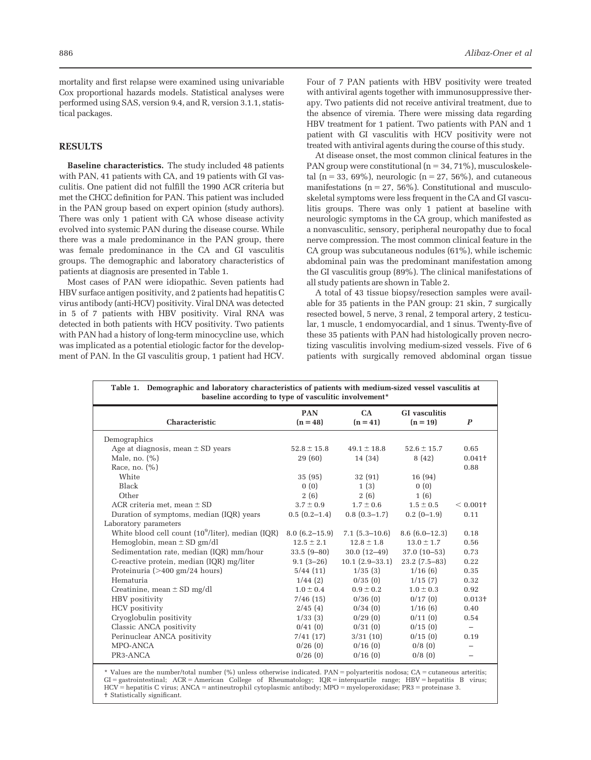#### RESULTS

tical packages.

Baseline characteristics. The study included 48 patients with PAN, 41 patients with CA, and 19 patients with GI vasculitis. One patient did not fulfill the 1990 ACR criteria but met the CHCC definition for PAN. This patient was included in the PAN group based on expert opinion (study authors). There was only 1 patient with CA whose disease activity evolved into systemic PAN during the disease course. While there was a male predominance in the PAN group, there was female predominance in the CA and GI vasculitis groups. The demographic and laboratory characteristics of patients at diagnosis are presented in Table 1.

Most cases of PAN were idiopathic. Seven patients had HBV surface antigen positivity, and 2 patients had hepatitis C virus antibody (anti-HCV) positivity. Viral DNA was detected in 5 of 7 patients with HBV positivity. Viral RNA was detected in both patients with HCV positivity. Two patients with PAN had a history of long-term minocycline use, which was implicated as a potential etiologic factor for the development of PAN. In the GI vasculitis group, 1 patient had HCV. Four of 7 PAN patients with HBV positivity were treated with antiviral agents together with immunosuppressive therapy. Two patients did not receive antiviral treatment, due to the absence of viremia. There were missing data regarding HBV treatment for 1 patient. Two patients with PAN and 1 patient with GI vasculitis with HCV positivity were not treated with antiviral agents during the course of this study.

At disease onset, the most common clinical features in the PAN group were constitutional ( $n = 34, 71\%$ ), musculoskeletal (n = 33, 69%), neurologic (n = 27, 56%), and cutaneous manifestations ( $n = 27, 56\%$ ). Constitutional and musculoskeletal symptoms were less frequent in the CA and GI vasculitis groups. There was only 1 patient at baseline with neurologic symptoms in the CA group, which manifested as a nonvasculitic, sensory, peripheral neuropathy due to focal nerve compression. The most common clinical feature in the CA group was subcutaneous nodules (61%), while ischemic abdominal pain was the predominant manifestation among the GI vasculitis group (89%). The clinical manifestations of all study patients are shown in Table 2.

A total of 43 tissue biopsy/resection samples were available for 35 patients in the PAN group: 21 skin, 7 surgically resected bowel, 5 nerve, 3 renal, 2 temporal artery, 2 testicular, 1 muscle, 1 endomyocardial, and 1 sinus. Twenty-five of these 35 patients with PAN had histologically proven necrotizing vasculitis involving medium-sized vessels. Five of 6 patients with surgically removed abdominal organ tissue

| Table 1. Demographic and laboratory characteristics of patients with medium-sized vessel vasculitis at<br>baseline according to type of vasculitic involvement* |                          |                     |                                    |                          |
|-----------------------------------------------------------------------------------------------------------------------------------------------------------------|--------------------------|---------------------|------------------------------------|--------------------------|
| Characteristic                                                                                                                                                  | <b>PAN</b><br>$(n = 48)$ | CA<br>$(n = 41)$    | <b>GI</b> vasculitis<br>$(n = 19)$ | $\boldsymbol{P}$         |
| Demographics                                                                                                                                                    |                          |                     |                                    |                          |
| Age at diagnosis, mean $\pm$ SD years                                                                                                                           | $52.8 \pm 15.8$          | $49.1 \pm 18.8$     | $52.6 \pm 15.7$                    | 0.65                     |
| Male, no. $(\% )$                                                                                                                                               | 29 (60)                  | 14 (34)             | 8(42)                              | 0.041 <sup>†</sup>       |
| Race, no. $(\%)$                                                                                                                                                |                          |                     |                                    | 0.88                     |
| White                                                                                                                                                           | 35 (95)                  | 32(91)              | 16 (94)                            |                          |
| <b>Black</b>                                                                                                                                                    | 0(0)                     | 1(3)                | 0(0)                               |                          |
| Other                                                                                                                                                           | 2(6)                     | 2(6)                | 1(6)                               |                          |
| ACR criteria met, mean $\pm$ SD                                                                                                                                 | $3.7 \pm 0.9$            | $1.7 \pm 0.6$       | $1.5 \pm 0.5$                      | $< 0.001$ +              |
| Duration of symptoms, median (IQR) years                                                                                                                        | $0.5(0.2-1.4)$           | $0.8(0.3-1.7)$      | $0.2(0-1.9)$                       | 0.11                     |
| Laboratory parameters                                                                                                                                           |                          |                     |                                    |                          |
| White blood cell count $(10^9/\text{liter})$ , median $(IQR)$                                                                                                   | $8.0(6.2 - 15.9)$        | $7.1(5.3-10.6)$     | $8.6(6.0-12.3)$                    | 0.18                     |
| Hemoglobin, mean $\pm$ SD gm/dl                                                                                                                                 | $12.5 \pm 2.1$           | $12.8 \pm 1.8$      | $13.0 \pm 1.7$                     | 0.56                     |
| Sedimentation rate, median (IQR) mm/hour                                                                                                                        | $33.5(9-80)$             | $30.0(12-49)$       | $37.0(10-53)$                      | 0.73                     |
| C-reactive protein, median (IQR) mg/liter                                                                                                                       | $9.1(3-26)$              | $10.1 (2.9 - 33.1)$ | $23.2$ (7.5-83)                    | 0.22                     |
| Proteinuria (>400 gm/24 hours)                                                                                                                                  | 5/44(11)                 | 1/35(3)             | 1/16(6)                            | 0.35                     |
| Hematuria                                                                                                                                                       | $1/44$ (2)               | 0/35(0)             | 1/15(7)                            | 0.32                     |
| Creatinine, mean $\pm$ SD mg/dl                                                                                                                                 | $1.0 \pm 0.4$            | $0.9 \pm 0.2$       | $1.0 \pm 0.3$                      | 0.92                     |
| HBV positivity                                                                                                                                                  | 7/46(15)                 | 0/36(0)             | 0/17(0)                            | $0.013+$                 |
| HCV positivity                                                                                                                                                  | 2/45(4)                  | 0/34(0)             | 1/16(6)                            | 0.40                     |
| Cryoglobulin positivity                                                                                                                                         | 1/33(3)                  | 0/29(0)             | 0/11(0)                            | 0.54                     |
| Classic ANCA positivity                                                                                                                                         | 0/41(0)                  | 0/31(0)             | 0/15(0)                            | $\overline{\phantom{m}}$ |
| Perinuclear ANCA positivity                                                                                                                                     | 7/41(17)                 | 3/31(10)            | 0/15(0)                            | 0.19                     |
| MPO-ANCA                                                                                                                                                        | 0/26(0)                  | 0/16(0)             | 0/8(0)                             |                          |
| PR3-ANCA                                                                                                                                                        | 0/26(0)                  | 0/16(0)             | 0/8(0)                             |                          |
|                                                                                                                                                                 |                          |                     |                                    |                          |

\* Values are the number/total number (%) unless otherwise indicated. PAN = polyarteritis nodosa; CA = cutaneous arteritis;<br>GI = gastrointestinal; ACR = American College of Rheumatology; IQR = interquartile range; HB † Statistically significant.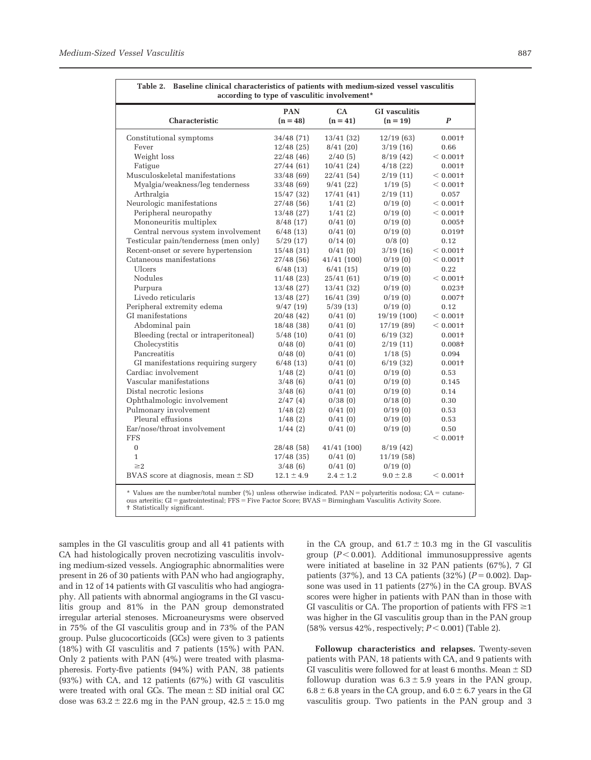Г

| Characteristic                         | <b>PAN</b><br>$(n = 48)$ | <b>CA</b><br>$(n = 41)$ | <b>GI</b> vasculitis<br>$(n = 19)$ | $\boldsymbol{P}$ |
|----------------------------------------|--------------------------|-------------------------|------------------------------------|------------------|
| Constitutional symptoms                | 34/48(71)                | 13/41(32)               | 12/19(63)                          | $0.001+$         |
| Fever                                  | 12/48(25)                | 8/41(20)                | 3/19(16)                           | 0.66             |
| Weight loss                            | 22/48 (46)               | 2/40(5)                 | 8/19(42)                           | $< 0.001$ †      |
| Fatigue                                | 27/44 (61)               | 10/41(24)               | 4/18(22)                           | $0.001 +$        |
| Musculoskeletal manifestations         | 33/48(69)                | 22/41 (54)              | 2/19(11)                           | $< 0.001$ +      |
| Myalgia/weakness/leg tenderness        | 33/48(69)                | 9/41(22)                | 1/19(5)                            | $< 0.001$ +      |
| Arthralgia                             | 15/47(32)                | 17/41(41)               | 2/19(11)                           | 0.057            |
| Neurologic manifestations              | 27/48(56)                | 1/41(2)                 | 0/19(0)                            | $< 0.001$ +      |
| Peripheral neuropathy                  | 13/48(27)                | 1/41(2)                 | 0/19(0)                            | $< 0.001$ +      |
| Mononeuritis multiplex                 | 8/48(17)                 | 0/41(0)                 | 0/19(0)                            | $0.005+$         |
| Central nervous system involvement     | 6/48(13)                 | 0/41(0)                 | 0/19(0)                            | $0.019+$         |
| Testicular pain/tenderness (men only)  | 5/29(17)                 | 0/14(0)                 | 0/8(0)                             | 0.12             |
| Recent-onset or severe hypertension    | 15/48(31)                | 0/41(0)                 | 3/19(16)                           | $< 0.001$ +      |
| Cutaneous manifestations               | 27/48(56)                | 41/41(100)              | 0/19(0)                            | $< 0.001$ +      |
| Ulcers                                 | 6/48(13)                 | 6/41(15)                | 0/19(0)                            | 0.22             |
| Nodules                                | 11/48(23)                | 25/41 (61)              | 0/19(0)                            | $< 0.001$ +      |
| Purpura                                | 13/48(27)                | 13/41(32)               | 0/19(0)                            | $0.023 +$        |
| Livedo reticularis                     | 13/48(27)                | 16/41(39)               | 0/19(0)                            | $0.007 +$        |
| Peripheral extremity edema             | 9/47(19)                 | 5/39(13)                | 0/19(0)                            | 0.12             |
| GI manifestations                      | 20/48 (42)               | 0/41(0)                 | 19/19 (100)                        | $< 0.001$ +      |
| Abdominal pain                         | 18/48(38)                | 0/41(0)                 | 17/19(89)                          | $< 0.001$ +      |
| Bleeding (rectal or intraperitoneal)   | 5/48(10)                 | 0/41(0)                 | 6/19(32)                           | $0.001+$         |
| Cholecystitis                          | 0/48(0)                  | 0/41(0)                 | 2/19(11)                           | $0.008 +$        |
| Pancreatitis                           | 0/48(0)                  | 0/41(0)                 | 1/18(5)                            | 0.094            |
| GI manifestations requiring surgery    | 6/48(13)                 | 0/41(0)                 | 6/19(32)                           | $0.001 +$        |
| Cardiac involvement                    | 1/48(2)                  | 0/41(0)                 | 0/19(0)                            | 0.53             |
| Vascular manifestations                | 3/48(6)                  | 0/41(0)                 | 0/19(0)                            | 0.145            |
| Distal necrotic lesions                | 3/48(6)                  | 0/41(0)                 | 0/19(0)                            | 0.14             |
| Ophthalmologic involvement             | 2/47(4)                  | 0/38(0)                 | 0/18(0)                            | 0.30             |
| Pulmonary involvement                  | 1/48(2)                  | 0/41(0)                 | 0/19(0)                            | 0.53             |
| Pleural effusions                      | 1/48(2)                  | 0/41(0)                 | 0/19(0)                            | 0.53             |
| Ear/nose/throat involvement            | 1/44(2)                  | 0/41(0)                 | 0/19(0)                            | 0.50             |
| <b>FFS</b>                             |                          |                         |                                    | $< 0.001$ +      |
| $\mathbf{0}$                           | 28/48(58)                | 41/41 (100)             | 8/19(42)                           |                  |
| $\mathbf{1}$                           | 17/48(35)                | 0/41(0)                 | 11/19(58)                          |                  |
| $\geq$ 2                               | 3/48(6)                  | 0/41(0)                 | 0/19(0)                            |                  |
| BVAS score at diagnosis, mean $\pm$ SD | $12.1 \pm 4.9$           | $2.4 \pm 1.2$           | $9.0 \pm 2.8$                      | $< 0.001$ +      |

Table 2. Baseline clinical characteristics of patients with medium-sized vessel vasculitis

samples in the GI vasculitis group and all 41 patients with CA had histologically proven necrotizing vasculitis involving medium-sized vessels. Angiographic abnormalities were present in 26 of 30 patients with PAN who had angiography, and in 12 of 14 patients with GI vasculitis who had angiography. All patients with abnormal angiograms in the GI vasculitis group and 81% in the PAN group demonstrated irregular arterial stenoses. Microaneurysms were observed in 75% of the GI vasculitis group and in 73% of the PAN group. Pulse glucocorticoids (GCs) were given to 3 patients (18%) with GI vasculitis and 7 patients (15%) with PAN. Only 2 patients with PAN (4%) were treated with plasmapheresis. Forty-five patients (94%) with PAN, 38 patients (93%) with CA, and 12 patients (67%) with GI vasculitis were treated with oral GCs. The mean  $\pm$  SD initial oral GC dose was  $63.2 \pm 22.6$  mg in the PAN group,  $42.5 \pm 15.0$  mg

in the CA group, and  $61.7 \pm 10.3$  mg in the GI vasculitis group  $(P < 0.001)$ . Additional immunosuppressive agents were initiated at baseline in 32 PAN patients (67%), 7 GI patients (37%), and 13 CA patients (32%)  $(P = 0.002)$ . Dapsone was used in 11 patients (27%) in the CA group. BVAS scores were higher in patients with PAN than in those with GI vasculitis or CA. The proportion of patients with  $FFS \geq 1$ was higher in the GI vasculitis group than in the PAN group (58% versus 42%, respectively;  $P < 0.001$ ) (Table 2).

Followup characteristics and relapses. Twenty-seven patients with PAN, 18 patients with CA, and 9 patients with GI vasculitis were followed for at least 6 months. Mean  $\pm$  SD followup duration was  $6.3 \pm 5.9$  years in the PAN group,  $6.8 \pm 6.8$  years in the CA group, and  $6.0 \pm 6.7$  years in the GI vasculitis group. Two patients in the PAN group and 3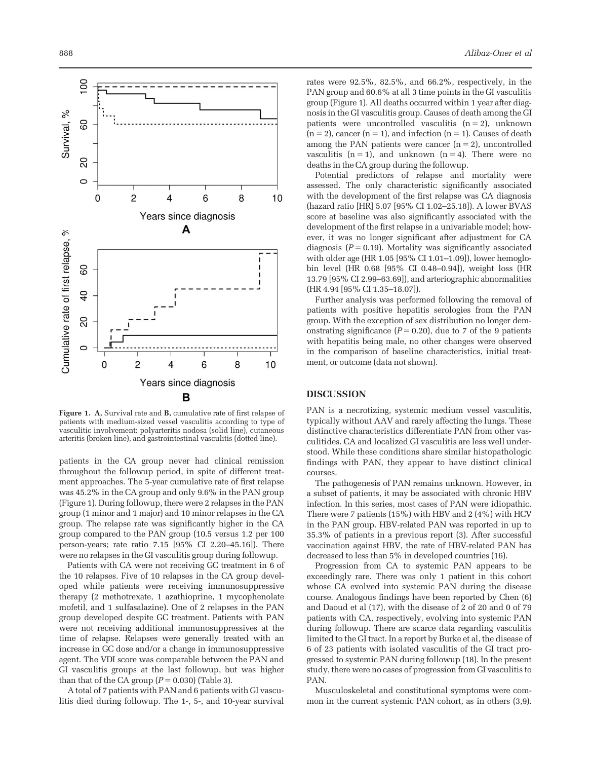

Figure 1. A, Survival rate and B, cumulative rate of first relapse of patients with medium-sized vessel vasculitis according to type of vasculitic involvement: polyarteritis nodosa (solid line), cutaneous arteritis (broken line), and gastrointestinal vasculitis (dotted line).

patients in the CA group never had clinical remission throughout the followup period, in spite of different treatment approaches. The 5-year cumulative rate of first relapse was 45.2% in the CA group and only 9.6% in the PAN group (Figure 1). During followup, there were 2 relapses in the PAN group (1 minor and 1 major) and 10 minor relapses in the CA group. The relapse rate was significantly higher in the CA group compared to the PAN group (10.5 versus 1.2 per 100 person-years; rate ratio 7.15 [95% CI 2.20–45.16]). There were no relapses in the GI vasculitis group during followup.

Patients with CA were not receiving GC treatment in 6 of the 10 relapses. Five of 10 relapses in the CA group developed while patients were receiving immunosuppressive therapy (2 methotrexate, 1 azathioprine, 1 mycophenolate mofetil, and 1 sulfasalazine). One of 2 relapses in the PAN group developed despite GC treatment. Patients with PAN were not receiving additional immunosuppressives at the time of relapse. Relapses were generally treated with an increase in GC dose and/or a change in immunosuppressive agent. The VDI score was comparable between the PAN and GI vasculitis groups at the last followup, but was higher than that of the CA group  $(P = 0.030)$  (Table 3).

A total of 7 patients with PAN and 6 patients with GI vasculitis died during followup. The 1-, 5-, and 10-year survival

rates were 92.5%, 82.5%, and 66.2%, respectively, in the PAN group and 60.6% at all 3 time points in the GI vasculitis group (Figure 1). All deaths occurred within 1 year after diagnosis in the GI vasculitis group. Causes of death among the GI patients were uncontrolled vasculitis  $(n = 2)$ , unknown  $(n = 2)$ , cancer  $(n = 1)$ , and infection  $(n = 1)$ . Causes of death among the PAN patients were cancer  $(n = 2)$ , uncontrolled vasculitis  $(n = 1)$ , and unknown  $(n = 4)$ . There were no deaths in the CA group during the followup.

Potential predictors of relapse and mortality were assessed. The only characteristic significantly associated with the development of the first relapse was CA diagnosis (hazard ratio [HR] 5.07 [95% CI 1.02–25.18]). A lower BVAS score at baseline was also significantly associated with the development of the first relapse in a univariable model; however, it was no longer significant after adjustment for CA diagnosis ( $P = 0.19$ ). Mortality was significantly associated with older age (HR 1.05 [95% CI 1.01–1.09]), lower hemoglobin level (HR 0.68 [95% CI 0.48–0.94]), weight loss (HR 13.79 [95% CI 2.99–63.69]), and arteriographic abnormalities (HR 4.94 [95% CI 1.35–18.07]).

Further analysis was performed following the removal of patients with positive hepatitis serologies from the PAN group. With the exception of sex distribution no longer demonstrating significance ( $P = 0.20$ ), due to 7 of the 9 patients with hepatitis being male, no other changes were observed in the comparison of baseline characteristics, initial treatment, or outcome (data not shown).

#### DISCUSSION

PAN is a necrotizing, systemic medium vessel vasculitis, typically without AAV and rarely affecting the lungs. These distinctive characteristics differentiate PAN from other vasculitides. CA and localized GI vasculitis are less well understood. While these conditions share similar histopathologic findings with PAN, they appear to have distinct clinical courses.

The pathogenesis of PAN remains unknown. However, in a subset of patients, it may be associated with chronic HBV infection. In this series, most cases of PAN were idiopathic. There were 7 patients (15%) with HBV and 2 (4%) with HCV in the PAN group. HBV-related PAN was reported in up to 35.3% of patients in a previous report (3). After successful vaccination against HBV, the rate of HBV-related PAN has decreased to less than 5% in developed countries (16).

Progression from CA to systemic PAN appears to be exceedingly rare. There was only 1 patient in this cohort whose CA evolved into systemic PAN during the disease course. Analogous findings have been reported by Chen (6) and Daoud et al (17), with the disease of 2 of 20 and 0 of 79 patients with CA, respectively, evolving into systemic PAN during followup. There are scarce data regarding vasculitis limited to the GI tract. In a report by Burke et al, the disease of 6 of 23 patients with isolated vasculitis of the GI tract progressed to systemic PAN during followup (18). In the present study, there were no cases of progression from GI vasculitis to PAN.

Musculoskeletal and constitutional symptoms were common in the current systemic PAN cohort, as in others (3,9).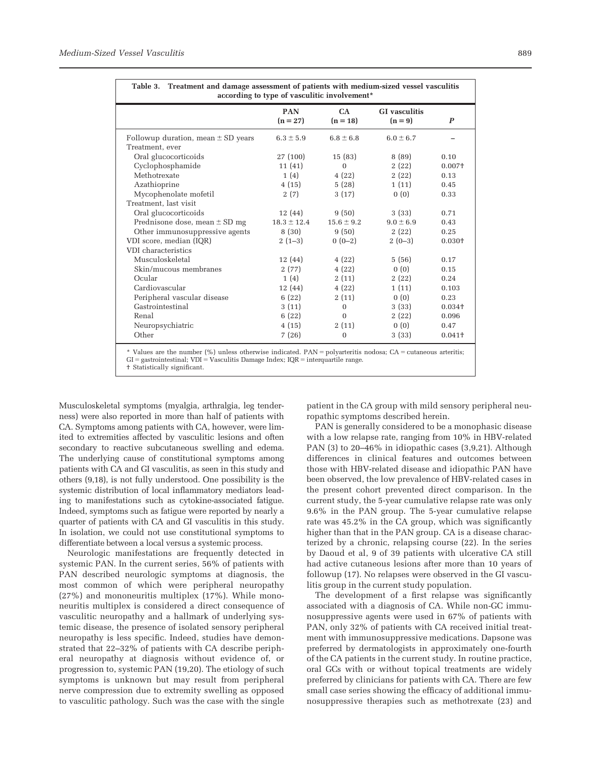$\overline{ }$ 

| Table 3. Treatment and damage assessment of patients with medium-sized vessel vasculitis<br>according to type of vasculitic involvement* |                          |                  |                                 |                    |
|------------------------------------------------------------------------------------------------------------------------------------------|--------------------------|------------------|---------------------------------|--------------------|
|                                                                                                                                          | <b>PAN</b><br>$(n = 27)$ | CA<br>$(n = 18)$ | <b>GI</b> vasculitis<br>$(n=9)$ | P                  |
| Followup duration, mean $\pm$ SD years                                                                                                   | $6.3 \pm 5.9$            | $6.8 \pm 6.8$    | $6.0 \pm 6.7$                   |                    |
| Treatment, ever                                                                                                                          |                          |                  |                                 |                    |
| Oral glucocorticoids                                                                                                                     | 27(100)                  | 15(83)           | 8(89)                           | 0.10               |
| Cyclophosphamide                                                                                                                         | 11(41)                   | $\mathbf{0}$     | 2(22)                           | $0.007+$           |
| Methotrexate                                                                                                                             | 1(4)                     | 4(22)            | 2(22)                           | 0.13               |
| Azathioprine                                                                                                                             | 4(15)                    | 5(28)            | 1(11)                           | 0.45               |
| Mycophenolate mofetil                                                                                                                    | 2(7)                     | 3(17)            | 0(0)                            | 0.33               |
| Treatment, last visit                                                                                                                    |                          |                  |                                 |                    |
| Oral glucocorticoids                                                                                                                     | 12 (44)                  | 9(50)            | 3(33)                           | 0.71               |
| Prednisone dose, mean $\pm$ SD mg                                                                                                        | $18.3 \pm 12.4$          | $15.6 \pm 9.2$   | $9.0 \pm 6.9$                   | 0.43               |
| Other immunosuppressive agents                                                                                                           | 8 (30)                   | 9(50)            | 2(22)                           | 0.25               |
| VDI score, median (IQR)                                                                                                                  | $2(1-3)$                 | $0(0-2)$         | $2(0-3)$                        | $0.030+$           |
| VDI characteristics                                                                                                                      |                          |                  |                                 |                    |
| Musculoskeletal                                                                                                                          | 12 (44)                  | 4(22)            | 5(56)                           | 0.17               |
| Skin/mucous membranes                                                                                                                    | 2(77)                    | 4(22)            | 0(0)                            | 0.15               |
| Ocular                                                                                                                                   | 1(4)                     | 2(11)            | 2(22)                           | 0.24               |
| Cardiovascular                                                                                                                           | 12 (44)                  | 4(22)            | 1(11)                           | 0.103              |
| Peripheral vascular disease                                                                                                              | 6(22)                    | 2(11)            | 0(0)                            | 0.23               |
| Gastrointestinal                                                                                                                         | 3(11)                    | $\Omega$         | 3(33)                           | $0.034+$           |
| Renal                                                                                                                                    | 6(22)                    | $\Omega$         | 2(22)                           | 0.096              |
| Neuropsychiatric                                                                                                                         | 4(15)                    | 2(11)            | 0(0)                            | 0.47               |
| Other                                                                                                                                    | 7(26)                    | $\mathbf{0}$     | 3(33)                           | 0.041 <sup>†</sup> |

|  | Table 3. Treatment and damage assessment of patients with medium-sized vessel vascul                                                                                                                                              |
|--|-----------------------------------------------------------------------------------------------------------------------------------------------------------------------------------------------------------------------------------|
|  | $\mathbf{P}$ . The contract of the contract of the contract of the contract of the contract of the contract of the contract of the contract of the contract of the contract of the contract of the contract of the contract of th |

\* Values are the number (%) unless otherwise indicated. PAN = polyarteritis nodosa; CA = cutaneous arteritis;<br>GI = gastrointestinal; VDI = Vasculitis Damage Index; IQR = interquartile range. † Statistically significant.

Musculoskeletal symptoms (myalgia, arthralgia, leg tenderness) were also reported in more than half of patients with CA. Symptoms among patients with CA, however, were limited to extremities affected by vasculitic lesions and often secondary to reactive subcutaneous swelling and edema. The underlying cause of constitutional symptoms among patients with CA and GI vasculitis, as seen in this study and others (9,18), is not fully understood. One possibility is the systemic distribution of local inflammatory mediators leading to manifestations such as cytokine-associated fatigue. Indeed, symptoms such as fatigue were reported by nearly a quarter of patients with CA and GI vasculitis in this study. In isolation, we could not use constitutional symptoms to differentiate between a local versus a systemic process.

Neurologic manifestations are frequently detected in systemic PAN. In the current series, 56% of patients with PAN described neurologic symptoms at diagnosis, the most common of which were peripheral neuropathy (27%) and mononeuritis multiplex (17%). While mononeuritis multiplex is considered a direct consequence of vasculitic neuropathy and a hallmark of underlying systemic disease, the presence of isolated sensory peripheral neuropathy is less specific. Indeed, studies have demonstrated that 22–32% of patients with CA describe peripheral neuropathy at diagnosis without evidence of, or progression to, systemic PAN (19,20). The etiology of such symptoms is unknown but may result from peripheral nerve compression due to extremity swelling as opposed to vasculitic pathology. Such was the case with the single

patient in the CA group with mild sensory peripheral neuropathic symptoms described herein.

PAN is generally considered to be a monophasic disease with a low relapse rate, ranging from 10% in HBV-related PAN (3) to 20–46% in idiopathic cases (3,9,21). Although differences in clinical features and outcomes between those with HBV-related disease and idiopathic PAN have been observed, the low prevalence of HBV-related cases in the present cohort prevented direct comparison. In the current study, the 5-year cumulative relapse rate was only 9.6% in the PAN group. The 5-year cumulative relapse rate was 45.2% in the CA group, which was significantly higher than that in the PAN group. CA is a disease characterized by a chronic, relapsing course (22). In the series by Daoud et al, 9 of 39 patients with ulcerative CA still had active cutaneous lesions after more than 10 years of followup (17). No relapses were observed in the GI vasculitis group in the current study population.

The development of a first relapse was significantly associated with a diagnosis of CA. While non-GC immunosuppressive agents were used in 67% of patients with PAN, only 32% of patients with CA received initial treatment with immunosuppressive medications. Dapsone was preferred by dermatologists in approximately one-fourth of the CA patients in the current study. In routine practice, oral GCs with or without topical treatments are widely preferred by clinicians for patients with CA. There are few small case series showing the efficacy of additional immunosuppressive therapies such as methotrexate (23) and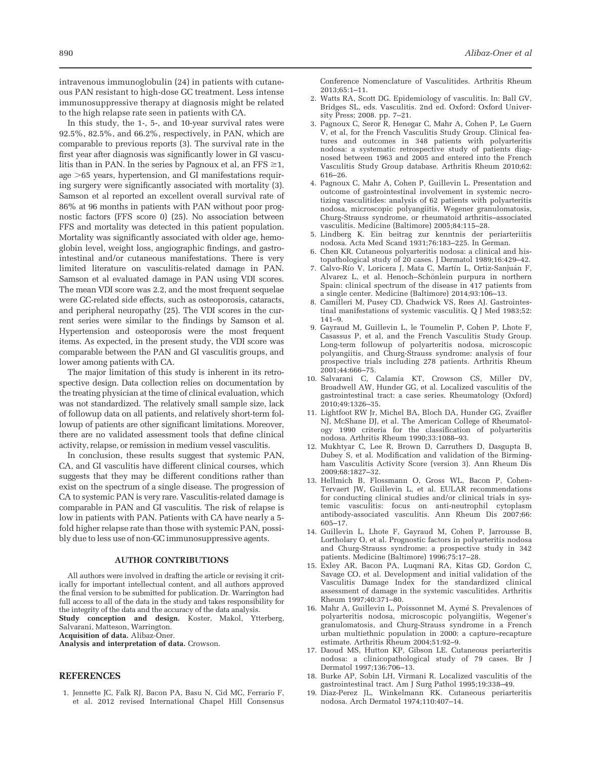intravenous immunoglobulin (24) in patients with cutaneous PAN resistant to high-dose GC treatment. Less intense immunosuppressive therapy at diagnosis might be related to the high relapse rate seen in patients with CA.

In this study, the 1-, 5-, and 10-year survival rates were 92.5%, 82.5%, and 66.2%, respectively, in PAN, which are comparable to previous reports (3). The survival rate in the first year after diagnosis was significantly lower in GI vasculitis than in PAN. In the series by Pagnoux et al, an  $FFS \geq 1$ , age >65 years, hypertension, and GI manifestations requiring surgery were significantly associated with mortality (3). Samson et al reported an excellent overall survival rate of 86% at 96 months in patients with PAN without poor prognostic factors (FFS score 0) (25). No association between FFS and mortality was detected in this patient population. Mortality was significantly associated with older age, hemoglobin level, weight loss, angiographic findings, and gastrointestinal and/or cutaneous manifestations. There is very limited literature on vasculitis-related damage in PAN. Samson et al evaluated damage in PAN using VDI scores. The mean VDI score was 2.2, and the most frequent sequelae were GC-related side effects, such as osteoporosis, cataracts, and peripheral neuropathy (25). The VDI scores in the current series were similar to the findings by Samson et al. Hypertension and osteoporosis were the most frequent items. As expected, in the present study, the VDI score was comparable between the PAN and GI vasculitis groups, and lower among patients with CA.

The major limitation of this study is inherent in its retrospective design. Data collection relies on documentation by the treating physician at the time of clinical evaluation, which was not standardized. The relatively small sample size, lack of followup data on all patients, and relatively short-term followup of patients are other significant limitations. Moreover, there are no validated assessment tools that define clinical activity, relapse, or remission in medium vessel vasculitis.

In conclusion, these results suggest that systemic PAN, CA, and GI vasculitis have different clinical courses, which suggests that they may be different conditions rather than exist on the spectrum of a single disease. The progression of CA to systemic PAN is very rare. Vasculitis-related damage is comparable in PAN and GI vasculitis. The risk of relapse is low in patients with PAN. Patients with CA have nearly a 5 fold higher relapse rate than those with systemic PAN, possibly due to less use of non-GC immunosuppressive agents.

#### AUTHOR CONTRIBUTIONS

All authors were involved in drafting the article or revising it critically for important intellectual content, and all authors approved the final version to be submitted for publication. Dr. Warrington had full access to all of the data in the study and takes responsibility for the integrity of the data and the accuracy of the data analysis. Study conception and design. Koster, Makol, Ytterberg,

Salvarani, Matteson, Warrington.

Acquisition of data. Alibaz-Oner.

Analysis and interpretation of data. Crowson.

## **REFERENCES**

1. Jennette JC, Falk RJ, Bacon PA, Basu N, Cid MC, Ferrario F, et al. 2012 revised International Chapel Hill Consensus Conference Nomenclature of Vasculitides. Arthritis Rheum 2013;65:1–11.

- 2. Watts RA, Scott DG. Epidemiology of vasculitis. In: Ball GV, Bridges SL, eds. Vasculitis. 2nd ed. Oxford: Oxford University Press; 2008. pp. 7–21.
- 3. Pagnoux C, Seror R, Henegar C, Mahr A, Cohen P, Le Guern V, et al, for the French Vasculitis Study Group. Clinical features and outcomes in 348 patients with polyarteritis nodosa: a systematic retrospective study of patients diagnosed between 1963 and 2005 and entered into the French Vasculitis Study Group database. Arthritis Rheum 2010;62: 616–26.
- 4. Pagnoux C, Mahr A, Cohen P, Guillevin L. Presentation and outcome of gastrointestinal involvement in systemic necrotizing vasculitides: analysis of 62 patients with polyarteritis nodosa, microscopic polyangiitis, Wegener granulomatosis, Churg-Strauss syndrome, or rheumatoid arthritis–associated vasculitis. Medicine (Baltimore) 2005;84:115–28.
- 5. Lindberg K. Ein beitrag zur kenntnis der periarteriitis nodosa. Acta Med Scand 1931;76:183–225. In German.
- 6. Chen KR. Cutaneous polyarteritis nodosa: a clinical and histopathological study of 20 cases. J Dermatol 1989;16:429–42.
- 7. Calvo-Río V, Loricera J, Mata C, Martín L, Ortiz-Sanjuán F, Alvarez L, et al. Henoch–Schönlein purpura in northern Spain: clinical spectrum of the disease in 417 patients from a single center. Medicine (Baltimore) 2014;93:106–13.
- 8. Camilleri M, Pusey CD, Chadwick VS, Rees AJ. Gastrointestinal manifestations of systemic vasculitis. Q J Med 1983;52: 141–9.
- 9. Gayraud M, Guillevin L, le Toumelin P, Cohen P, Lhote F, Casassus P, et al, and the French Vasculitis Study Group. Long-term followup of polyarteritis nodosa, microscopic polyangiitis, and Churg-Strauss syndrome: analysis of four prospective trials including 278 patients. Arthritis Rheum 2001;44:666–75.
- 10. Salvarani C, Calamia KT, Crowson CS, Miller DV, Broadwell AW, Hunder GG, et al. Localized vasculitis of the gastrointestinal tract: a case series. Rheumatology (Oxford) 2010;49:1326–35.
- 11. Lightfoot RW Jr, Michel BA, Bloch DA, Hunder GG, Zvaifler NJ, McShane DJ, et al. The American College of Rheumatology 1990 criteria for the classification of polyarteritis nodosa. Arthritis Rheum 1990;33:1088–93.
- 12. Mukhtyar C, Lee R, Brown D, Carruthers D, Dasgupta B, Dubey S, et al. Modification and validation of the Birmingham Vasculitis Activity Score (version 3). Ann Rheum Dis 2009;68:1827–32.
- 13. Hellmich B, Flossmann O, Gross WL, Bacon P, Cohen-Tervaert JW, Guillevin L, et al. EULAR recommendations for conducting clinical studies and/or clinical trials in systemic vasculitis: focus on anti-neutrophil cytoplasm antibody-associated vasculitis. Ann Rheum Dis 2007;66: 605–17.
- 14. Guillevin L, Lhote F, Gayraud M, Cohen P, Jarrousse B, Lortholary O, et al. Prognostic factors in polyarteritis nodosa and Churg-Strauss syndrome: a prospective study in 342 patients. Medicine (Baltimore) 1996;75:17–28.
- 15. Exley AR, Bacon PA, Luqmani RA, Kitas GD, Gordon C, Savage CO, et al. Development and initial validation of the Vasculitis Damage Index for the standardized clinical assessment of damage in the systemic vasculitides. Arthritis Rheum 1997;40:371–80.
- 16. Mahr A, Guillevin L, Poissonnet M, Aymé S. Prevalences of polyarteritis nodosa, microscopic polyangiitis, Wegener's granulomatosis, and Churg-Strauss syndrome in a French urban multiethnic population in 2000: a capture–recapture estimate. Arthritis Rheum 2004;51:92–9.
- 17. Daoud MS, Hutton KP, Gibson LE. Cutaneous periarteritis nodosa: a clinicopathological study of 79 cases. Br J Dermatol 1997;136:706–13.
- 18. Burke AP, Sobin LH, Virmani R. Localized vasculitis of the gastrointestinal tract. Am J Surg Pathol 1995;19:338–49.
- 19. Diaz-Perez JL, Winkelmann RK. Cutaneous periarteritis nodosa. Arch Dermatol 1974;110:407–14.